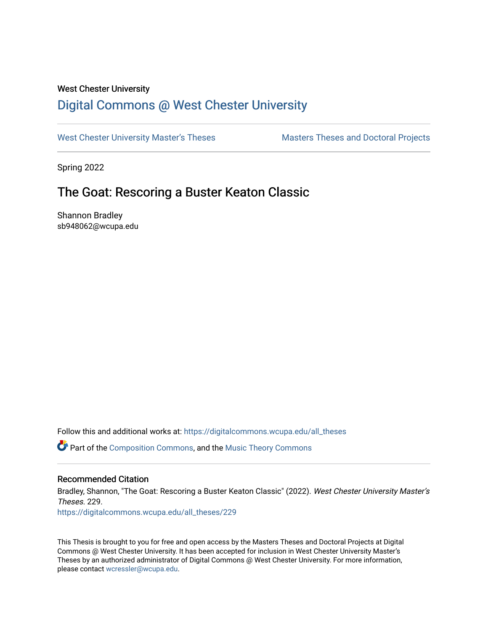## West Chester University

# [Digital Commons @ West Chester University](https://digitalcommons.wcupa.edu/)

[West Chester University Master's Theses](https://digitalcommons.wcupa.edu/all_theses) Masters Theses and Doctoral Projects

Spring 2022

# The Goat: Rescoring a Buster Keaton Classic

Shannon Bradley sb948062@wcupa.edu

Follow this and additional works at: [https://digitalcommons.wcupa.edu/all\\_theses](https://digitalcommons.wcupa.edu/all_theses?utm_source=digitalcommons.wcupa.edu%2Fall_theses%2F229&utm_medium=PDF&utm_campaign=PDFCoverPages) 

Part of the [Composition Commons,](http://network.bepress.com/hgg/discipline/519?utm_source=digitalcommons.wcupa.edu%2Fall_theses%2F229&utm_medium=PDF&utm_campaign=PDFCoverPages) and the [Music Theory Commons](http://network.bepress.com/hgg/discipline/522?utm_source=digitalcommons.wcupa.edu%2Fall_theses%2F229&utm_medium=PDF&utm_campaign=PDFCoverPages)

## Recommended Citation

Bradley, Shannon, "The Goat: Rescoring a Buster Keaton Classic" (2022). West Chester University Master's Theses. 229. [https://digitalcommons.wcupa.edu/all\\_theses/229](https://digitalcommons.wcupa.edu/all_theses/229?utm_source=digitalcommons.wcupa.edu%2Fall_theses%2F229&utm_medium=PDF&utm_campaign=PDFCoverPages) 

This Thesis is brought to you for free and open access by the Masters Theses and Doctoral Projects at Digital Commons @ West Chester University. It has been accepted for inclusion in West Chester University Master's Theses by an authorized administrator of Digital Commons @ West Chester University. For more information, please contact [wcressler@wcupa.edu](mailto:wcressler@wcupa.edu).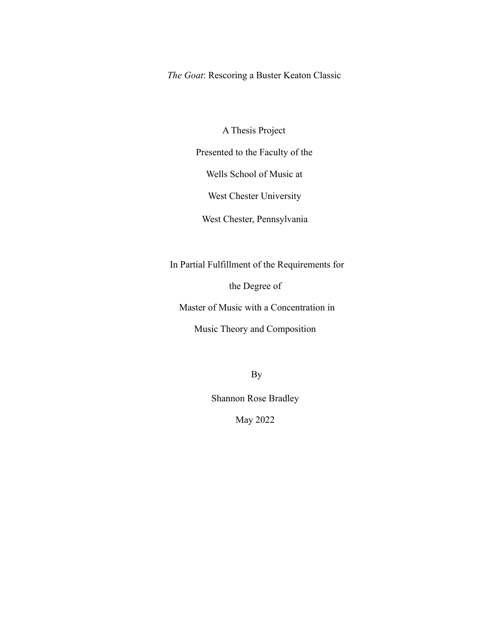*The Goat*: Rescoring a Buster Keaton Classic

A Thesis Project

Presented to the Faculty of the

Wells School of Music at

West Chester University

West Chester, Pennsylvania

In Partial Fulfillment of the Requirements for

the Degree of

Master of Music with a Concentration in

Music Theory and Composition

By

Shannon Rose Bradley

May 2022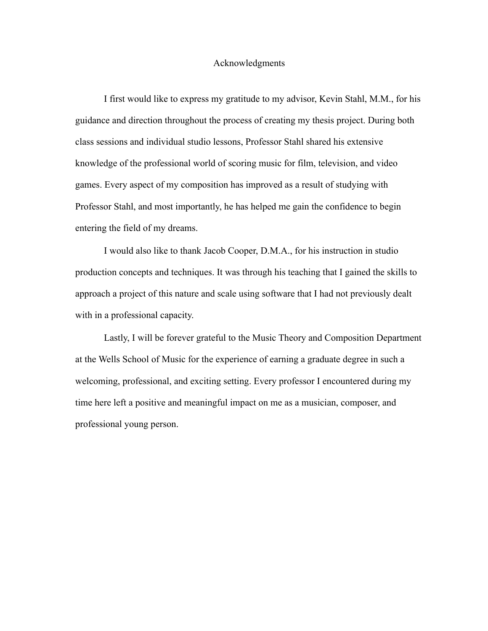#### Acknowledgments

I first would like to express my gratitude to my advisor, Kevin Stahl, M.M., for his guidance and direction throughout the process of creating my thesis project. During both class sessions and individual studio lessons, Professor Stahl shared his extensive knowledge of the professional world of scoring music for film, television, and video games. Every aspect of my composition has improved as a result of studying with Professor Stahl, and most importantly, he has helped me gain the confidence to begin entering the field of my dreams.

I would also like to thank Jacob Cooper, D.M.A., for his instruction in studio production concepts and techniques. It was through his teaching that I gained the skills to approach a project of this nature and scale using software that I had not previously dealt with in a professional capacity.

Lastly, I will be forever grateful to the Music Theory and Composition Department at the Wells School of Music for the experience of earning a graduate degree in such a welcoming, professional, and exciting setting. Every professor I encountered during my time here left a positive and meaningful impact on me as a musician, composer, and professional young person.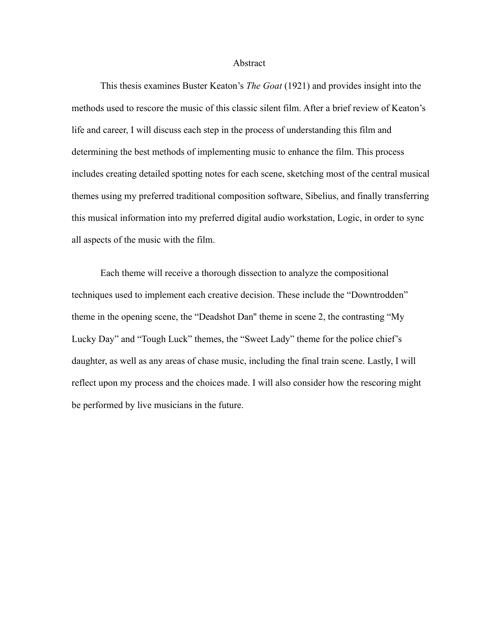#### Abstract

This thesis examines Buster Keaton's *The Goat* (1921) and provides insight into the methods used to rescore the music of this classic silent film. After a brief review of Keaton's life and career, I will discuss each step in the process of understanding this film and determining the best methods of implementing music to enhance the film. This process includes creating detailed spotting notes for each scene, sketching most of the central musical themes using my preferred traditional composition software, Sibelius, and finally transferring this musical information into my preferred digital audio workstation, Logic, in order to sync all aspects of the music with the film.

Each theme will receive a thorough dissection to analyze the compositional techniques used to implement each creative decision. These include the "Downtrodden" theme in the opening scene, the "Deadshot Dan'' theme in scene 2, the contrasting "My Lucky Day" and "Tough Luck" themes, the "Sweet Lady" theme for the police chief's daughter, as well as any areas of chase music, including the final train scene. Lastly, I will reflect upon my process and the choices made. I will also consider how the rescoring might be performed by live musicians in the future.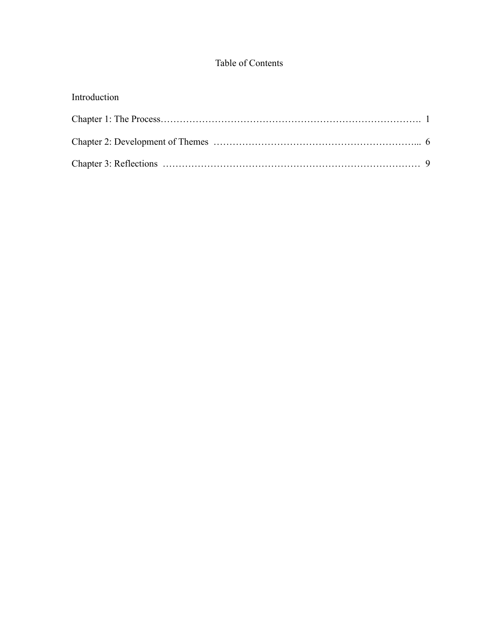## Table of Contents

| Introduction |  |
|--------------|--|
|              |  |
|              |  |
|              |  |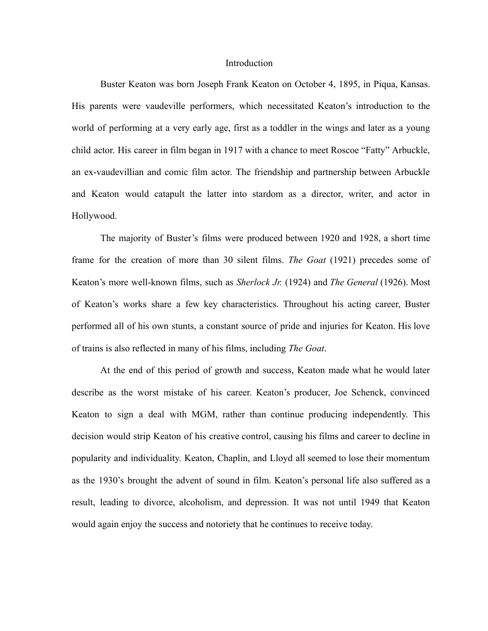#### **Introduction**

Buster Keaton was born Joseph Frank Keaton on October 4, 1895, in Piqua, Kansas. His parents were vaudeville performers, which necessitated Keaton's introduction to the world of performing at a very early age, first as a toddler in the wings and later as a young child actor. His career in film began in 1917 with a chance to meet Roscoe "Fatty" Arbuckle, an ex-vaudevillian and comic film actor. The friendship and partnership between Arbuckle and Keaton would catapult the latter into stardom as a director, writer, and actor in Hollywood.

The majority of Buster's films were produced between 1920 and 1928, a short time frame for the creation of more than 30 silent films. *The Goat* (1921) precedes some of Keaton's more well-known films, such as *Sherlock Jr.* (1924) and *The General* (1926). Most of Keaton's works share a few key characteristics. Throughout his acting career, Buster performed all of his own stunts, a constant source of pride and injuries for Keaton. His love of trains is also reflected in many of his films, including *The Goat*.

At the end of this period of growth and success, Keaton made what he would later describe as the worst mistake of his career. Keaton's producer, Joe Schenck, convinced Keaton to sign a deal with MGM, rather than continue producing independently. This decision would strip Keaton of his creative control, causing his films and career to decline in popularity and individuality. Keaton, Chaplin, and Lloyd all seemed to lose their momentum as the 1930's brought the advent of sound in film. Keaton's personal life also suffered as a result, leading to divorce, alcoholism, and depression. It was not until 1949 that Keaton would again enjoy the success and notoriety that he continues to receive today.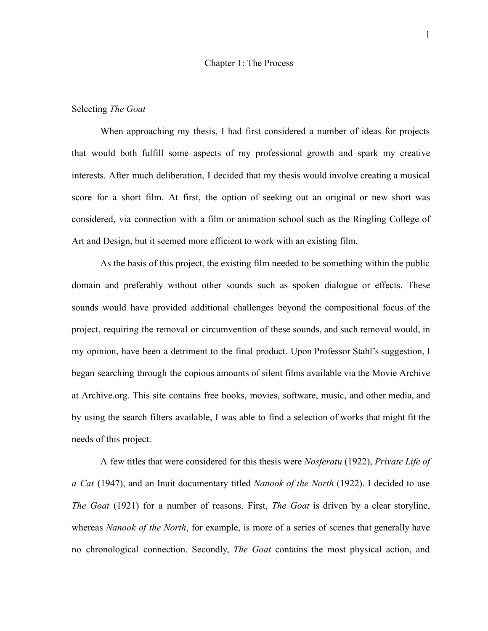#### Chapter 1: The Process

### Selecting *The Goat*

When approaching my thesis, I had first considered a number of ideas for projects that would both fulfill some aspects of my professional growth and spark my creative interests. After much deliberation, I decided that my thesis would involve creating a musical score for a short film. At first, the option of seeking out an original or new short was considered, via connection with a film or animation school such as the Ringling College of Art and Design, but it seemed more efficient to work with an existing film.

As the basis of this project, the existing film needed to be something within the public domain and preferably without other sounds such as spoken dialogue or effects. These sounds would have provided additional challenges beyond the compositional focus of the project, requiring the removal or circumvention of these sounds, and such removal would, in my opinion, have been a detriment to the final product. Upon Professor Stahl's suggestion, I began searching through the copious amounts of silent films available via the Movie Archive at Archive.org. This site contains free books, movies, software, music, and other media, and by using the search filters available, I was able to find a selection of works that might fit the needs of this project.

A few titles that were considered for this thesis were *Nosferatu* (1922), *Private Life of a Cat* (1947), and an Inuit documentary titled *Nanook of the North* (1922). I decided to use *The Goat* (1921) for a number of reasons. First, *The Goat* is driven by a clear storyline, whereas *Nanook of the North*, for example, is more of a series of scenes that generally have no chronological connection. Secondly, *The Goat* contains the most physical action, and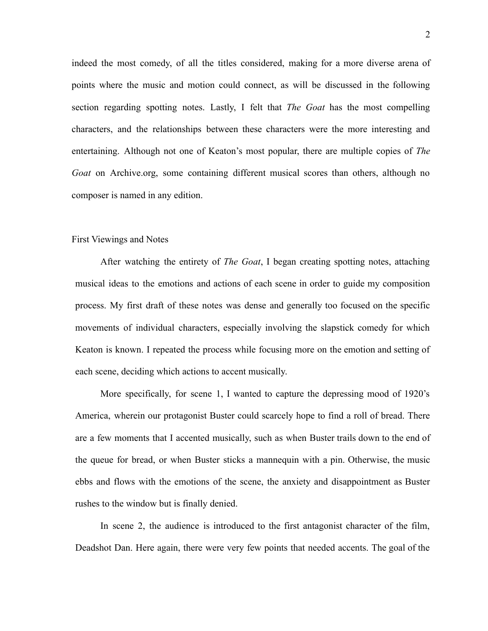indeed the most comedy, of all the titles considered, making for a more diverse arena of points where the music and motion could connect, as will be discussed in the following section regarding spotting notes. Lastly, I felt that *The Goat* has the most compelling characters, and the relationships between these characters were the more interesting and entertaining. Although not one of Keaton's most popular, there are multiple copies of *The Goat* on Archive.org, some containing different musical scores than others, although no composer is named in any edition.

#### First Viewings and Notes

After watching the entirety of *The Goat*, I began creating spotting notes, attaching musical ideas to the emotions and actions of each scene in order to guide my composition process. My first draft of these notes was dense and generally too focused on the specific movements of individual characters, especially involving the slapstick comedy for which Keaton is known. I repeated the process while focusing more on the emotion and setting of each scene, deciding which actions to accent musically.

More specifically, for scene 1, I wanted to capture the depressing mood of 1920's America, wherein our protagonist Buster could scarcely hope to find a roll of bread. There are a few moments that I accented musically, such as when Buster trails down to the end of the queue for bread, or when Buster sticks a mannequin with a pin. Otherwise, the music ebbs and flows with the emotions of the scene, the anxiety and disappointment as Buster rushes to the window but is finally denied.

In scene 2, the audience is introduced to the first antagonist character of the film, Deadshot Dan. Here again, there were very few points that needed accents. The goal of the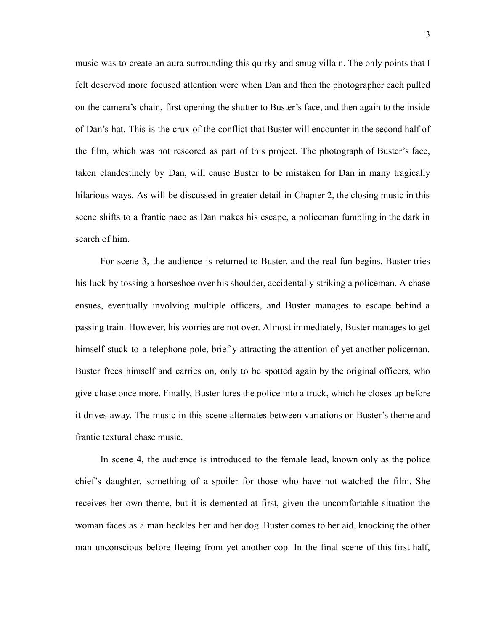music was to create an aura surrounding this quirky and smug villain. The only points that I felt deserved more focused attention were when Dan and then the photographer each pulled on the camera's chain, first opening the shutter to Buster's face, and then again to the inside of Dan's hat. This is the crux of the conflict that Buster will encounter in the second half of the film, which was not rescored as part of this project. The photograph of Buster's face, taken clandestinely by Dan, will cause Buster to be mistaken for Dan in many tragically hilarious ways. As will be discussed in greater detail in Chapter 2, the closing music in this scene shifts to a frantic pace as Dan makes his escape, a policeman fumbling in the dark in search of him.

For scene 3, the audience is returned to Buster, and the real fun begins. Buster tries his luck by tossing a horseshoe over his shoulder, accidentally striking a policeman. A chase ensues, eventually involving multiple officers, and Buster manages to escape behind a passing train. However, his worries are not over. Almost immediately, Buster manages to get himself stuck to a telephone pole, briefly attracting the attention of yet another policeman. Buster frees himself and carries on, only to be spotted again by the original officers, who give chase once more. Finally, Buster lures the police into a truck, which he closes up before it drives away. The music in this scene alternates between variations on Buster's theme and frantic textural chase music.

In scene 4, the audience is introduced to the female lead, known only as the police chief's daughter, something of a spoiler for those who have not watched the film. She receives her own theme, but it is demented at first, given the uncomfortable situation the woman faces as a man heckles her and her dog. Buster comes to her aid, knocking the other man unconscious before fleeing from yet another cop. In the final scene of this first half,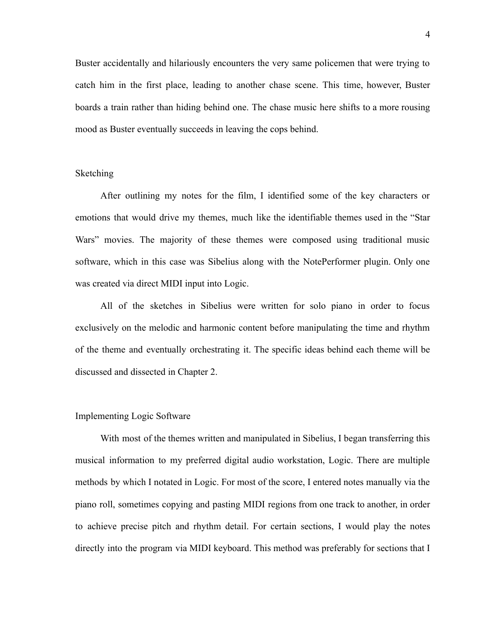Buster accidentally and hilariously encounters the very same policemen that were trying to catch him in the first place, leading to another chase scene. This time, however, Buster boards a train rather than hiding behind one. The chase music here shifts to a more rousing mood as Buster eventually succeeds in leaving the cops behind.

### Sketching

After outlining my notes for the film, I identified some of the key characters or emotions that would drive my themes, much like the identifiable themes used in the "Star Wars" movies. The majority of these themes were composed using traditional music software, which in this case was Sibelius along with the NotePerformer plugin. Only one was created via direct MIDI input into Logic.

All of the sketches in Sibelius were written for solo piano in order to focus exclusively on the melodic and harmonic content before manipulating the time and rhythm of the theme and eventually orchestrating it. The specific ideas behind each theme will be discussed and dissected in Chapter 2.

#### Implementing Logic Software

With most of the themes written and manipulated in Sibelius, I began transferring this musical information to my preferred digital audio workstation, Logic. There are multiple methods by which I notated in Logic. For most of the score, I entered notes manually via the piano roll, sometimes copying and pasting MIDI regions from one track to another, in order to achieve precise pitch and rhythm detail. For certain sections, I would play the notes directly into the program via MIDI keyboard. This method was preferably for sections that I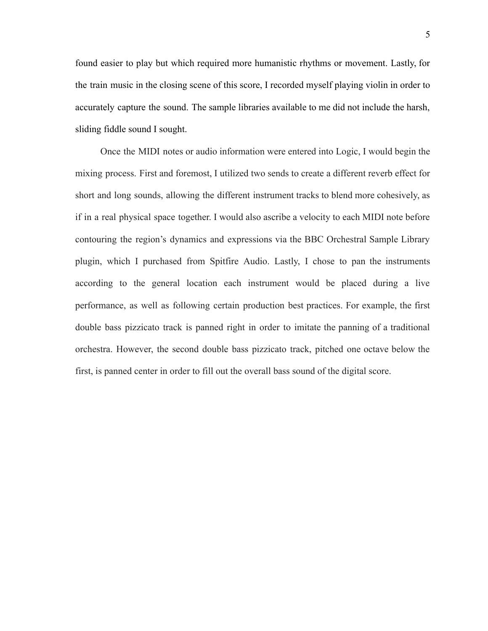found easier to play but which required more humanistic rhythms or movement. Lastly, for the train music in the closing scene of this score, I recorded myself playing violin in order to accurately capture the sound. The sample libraries available to me did not include the harsh, sliding fiddle sound I sought.

Once the MIDI notes or audio information were entered into Logic, I would begin the mixing process. First and foremost, I utilized two sends to create a different reverb effect for short and long sounds, allowing the different instrument tracks to blend more cohesively, as if in a real physical space together. I would also ascribe a velocity to each MIDI note before contouring the region's dynamics and expressions via the BBC Orchestral Sample Library plugin, which I purchased from Spitfire Audio. Lastly, I chose to pan the instruments according to the general location each instrument would be placed during a live performance, as well as following certain production best practices. For example, the first double bass pizzicato track is panned right in order to imitate the panning of a traditional orchestra. However, the second double bass pizzicato track, pitched one octave below the first, is panned center in order to fill out the overall bass sound of the digital score.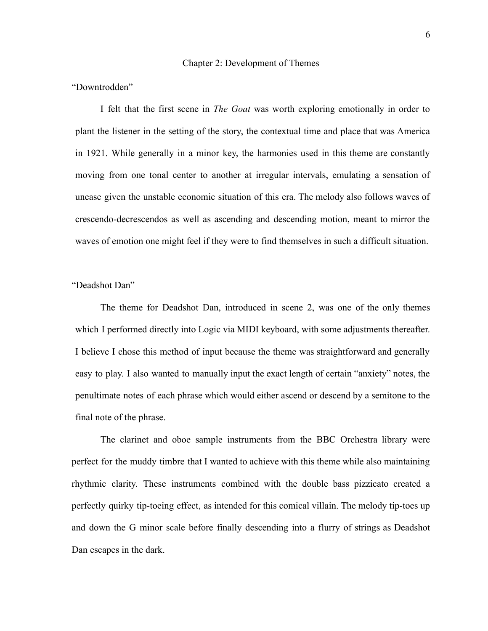#### Chapter 2: Development of Themes

### "Downtrodden"

I felt that the first scene in *The Goat* was worth exploring emotionally in order to plant the listener in the setting of the story, the contextual time and place that was America in 1921. While generally in a minor key, the harmonies used in this theme are constantly moving from one tonal center to another at irregular intervals, emulating a sensation of unease given the unstable economic situation of this era. The melody also follows waves of crescendo-decrescendos as well as ascending and descending motion, meant to mirror the waves of emotion one might feel if they were to find themselves in such a difficult situation.

## "Deadshot Dan"

The theme for Deadshot Dan, introduced in scene 2, was one of the only themes which I performed directly into Logic via MIDI keyboard, with some adjustments thereafter. I believe I chose this method of input because the theme was straightforward and generally easy to play. I also wanted to manually input the exact length of certain "anxiety" notes, the penultimate notes of each phrase which would either ascend or descend by a semitone to the final note of the phrase.

The clarinet and oboe sample instruments from the BBC Orchestra library were perfect for the muddy timbre that I wanted to achieve with this theme while also maintaining rhythmic clarity. These instruments combined with the double bass pizzicato created a perfectly quirky tip-toeing effect, as intended for this comical villain. The melody tip-toes up and down the G minor scale before finally descending into a flurry of strings as Deadshot Dan escapes in the dark.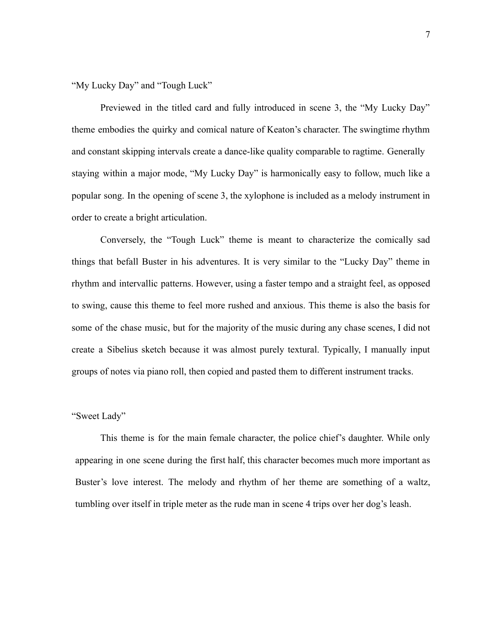"My Lucky Day" and "Tough Luck"

Previewed in the titled card and fully introduced in scene 3, the "My Lucky Day" theme embodies the quirky and comical nature of Keaton's character. The swingtime rhythm and constant skipping intervals create a dance-like quality comparable to ragtime. Generally staying within a major mode, "My Lucky Day" is harmonically easy to follow, much like a popular song. In the opening of scene 3, the xylophone is included as a melody instrument in order to create a bright articulation.

Conversely, the "Tough Luck" theme is meant to characterize the comically sad things that befall Buster in his adventures. It is very similar to the "Lucky Day" theme in rhythm and intervallic patterns. However, using a faster tempo and a straight feel, as opposed to swing, cause this theme to feel more rushed and anxious. This theme is also the basis for some of the chase music, but for the majority of the music during any chase scenes, I did not create a Sibelius sketch because it was almost purely textural. Typically, I manually input groups of notes via piano roll, then copied and pasted them to different instrument tracks.

## "Sweet Lady"

This theme is for the main female character, the police chief's daughter. While only appearing in one scene during the first half, this character becomes much more important as Buster's love interest. The melody and rhythm of her theme are something of a waltz, tumbling over itself in triple meter as the rude man in scene 4 trips over her dog's leash.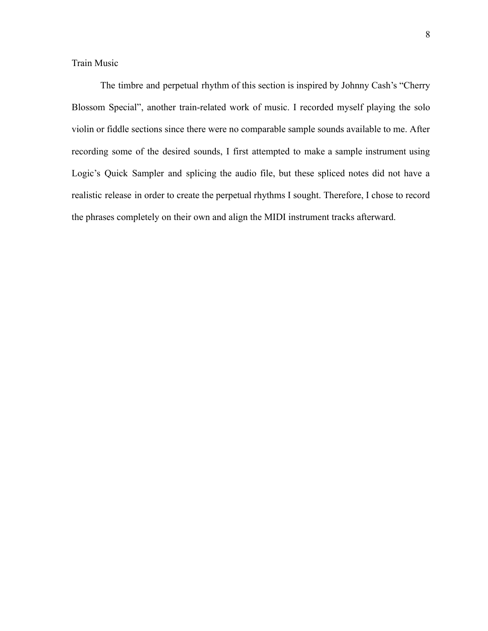Train Music

The timbre and perpetual rhythm of this section is inspired by Johnny Cash's "Cherry Blossom Special", another train-related work of music. I recorded myself playing the solo violin or fiddle sections since there were no comparable sample sounds available to me. After recording some of the desired sounds, I first attempted to make a sample instrument using Logic's Quick Sampler and splicing the audio file, but these spliced notes did not have a realistic release in order to create the perpetual rhythms I sought. Therefore, I chose to record the phrases completely on their own and align the MIDI instrument tracks afterward.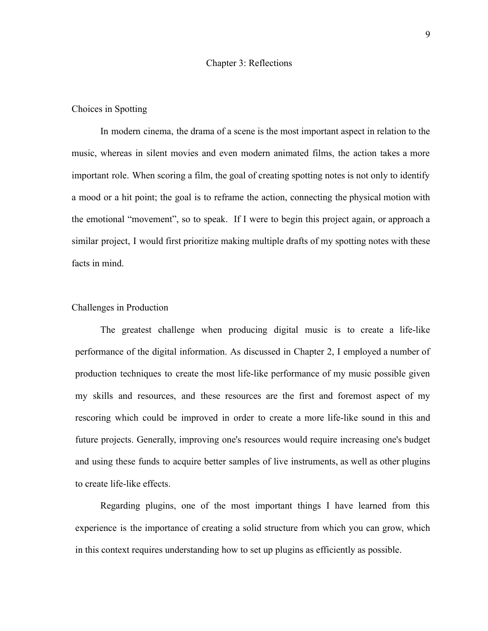#### Chapter 3: Reflections

### Choices in Spotting

In modern cinema, the drama of a scene is the most important aspect in relation to the music, whereas in silent movies and even modern animated films, the action takes a more important role. When scoring a film, the goal of creating spotting notes is not only to identify a mood or a hit point; the goal is to reframe the action, connecting the physical motion with the emotional "movement", so to speak. If I were to begin this project again, or approach a similar project, I would first prioritize making multiple drafts of my spotting notes with these facts in mind.

### Challenges in Production

The greatest challenge when producing digital music is to create a life-like performance of the digital information. As discussed in Chapter 2, I employed a number of production techniques to create the most life-like performance of my music possible given my skills and resources, and these resources are the first and foremost aspect of my rescoring which could be improved in order to create a more life-like sound in this and future projects. Generally, improving one's resources would require increasing one's budget and using these funds to acquire better samples of live instruments, as well as other plugins to create life-like effects.

Regarding plugins, one of the most important things I have learned from this experience is the importance of creating a solid structure from which you can grow, which in this context requires understanding how to set up plugins as efficiently as possible.